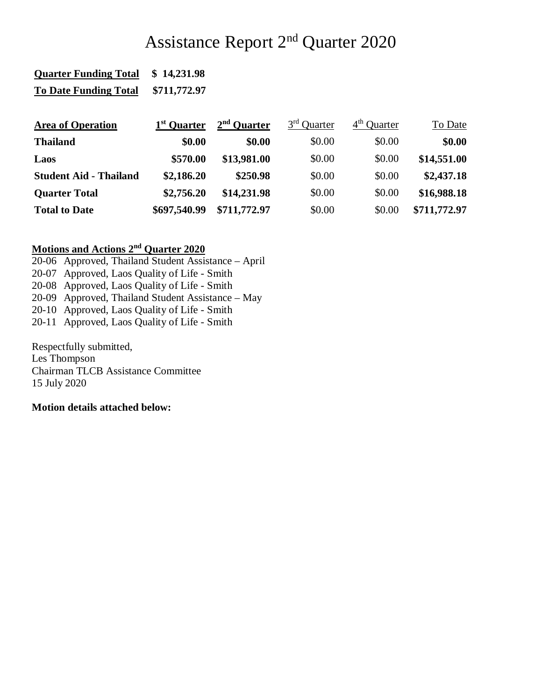# Assistance Report 2nd Quarter 2020

| <b>Quarter Funding Total</b>  | \$14,231.98             |               |               |               |              |
|-------------------------------|-------------------------|---------------|---------------|---------------|--------------|
| <b>To Date Funding Total</b>  | \$711,772.97            |               |               |               |              |
| <b>Area of Operation</b>      | 1 <sup>st</sup> Quarter | $2nd$ Ouarter | $3rd$ Quarter | $4th$ Quarter | To Date      |
| <b>Thailand</b>               | \$0.00                  | \$0.00        | \$0.00        | \$0.00        | \$0.00       |
| Laos                          | \$570.00                | \$13,981.00   | \$0.00        | \$0.00        | \$14,551.00  |
| <b>Student Aid - Thailand</b> | \$2,186.20              | \$250.98      | \$0.00        | \$0.00        | \$2,437.18   |
| <b>Quarter Total</b>          | \$2,756.20              | \$14,231.98   | \$0.00        | \$0.00        | \$16,988.18  |
| <b>Total to Date</b>          | \$697,540.99            | \$711,772.97  | \$0.00        | \$0.00        | \$711,772.97 |

## **Motions and Actions 2nd Quarter 2020**

20-06 Approved, Thailand Student Assistance – April 20-07 Approved, Laos Quality of Life - Smith 20-08 Approved, Laos Quality of Life - Smith 20-09 Approved, Thailand Student Assistance – May 20-10 Approved, Laos Quality of Life - Smith 20-11 Approved, Laos Quality of Life - Smith

Respectfully submitted, Les Thompson Chairman TLCB Assistance Committee 15 July 2020

## **Motion details attached below:**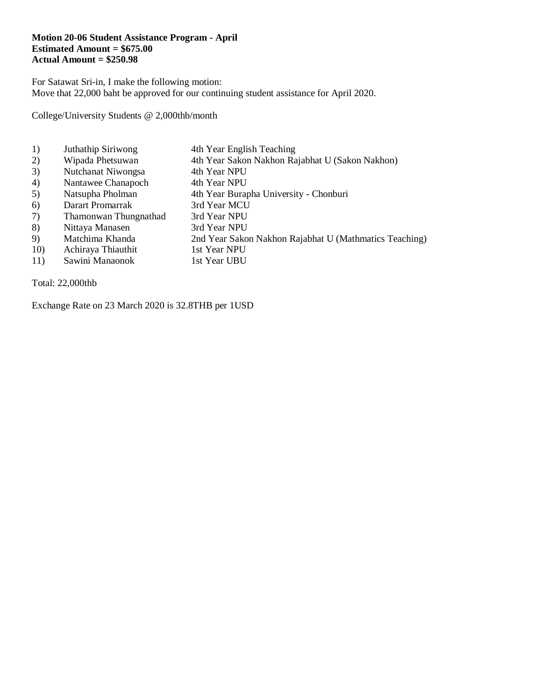#### **Motion 20-06 Student Assistance Program - April Estimated Amount = \$675.00 Actual Amount = \$250.98**

For Satawat Sri-in, I make the following motion: Move that 22,000 baht be approved for our continuing student assistance for April 2020.

College/University Students @ 2,000thb/month

- 1) Juthathip Siriwong 4th Year English Teaching
- 2) Wipada Phetsuwan 4th Year Sakon Nakhon Rajabhat U (Sakon Nakhon)
- 3) Nutchanat Niwongsa 4th Year NPU
- 4) Nantawee Chanapoch 4th Year NPU
- 5) Natsupha Pholman 4th Year Burapha University Chonburi<br>
6) Darart Promarrak 3rd Year MCU
- 
- 6) Darart Promarrak 3rd Year MCU<br>7) Thamonwan Thungnathad 3rd Year NPU 7) Thamonwan Thungnathad
- 8) Nittaya Manasen 3rd Year NPU
- 9) Matchima Khanda 2nd Year Sakon Nakhon Rajabhat U (Mathmatics Teaching)
- 10) Achiraya Thiauthit 1st Year NPU
- 11) Sawini Manaonok 1st Year UBU

Total: 22,000thb

Exchange Rate on 23 March 2020 is 32.8THB per 1USD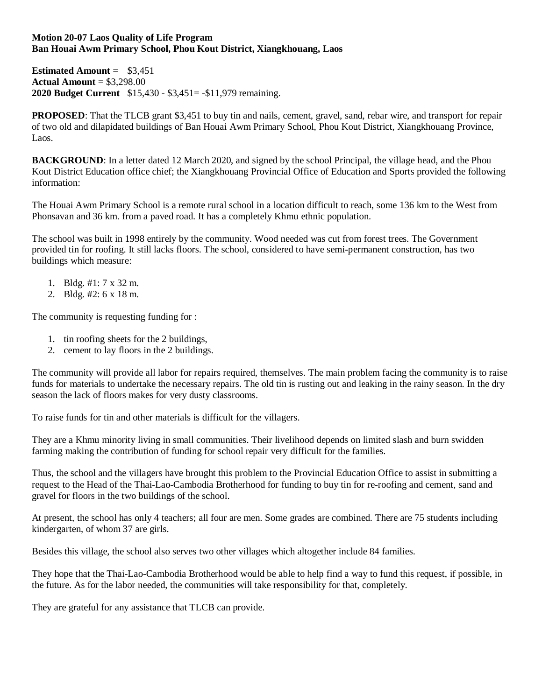#### **Motion 20-07 Laos Quality of Life Program Ban Houai Awm Primary School, Phou Kout District, Xiangkhouang, Laos**

**Estimated Amount** = \$3,451 **Actual Amount** = \$3,298.00 **2020 Budget Current** \$15,430 - \$3,451= -\$11,979 remaining.

**PROPOSED**: That the TLCB grant \$3,451 to buy tin and nails, cement, gravel, sand, rebar wire, and transport for repair of two old and dilapidated buildings of Ban Houai Awm Primary School, Phou Kout District, Xiangkhouang Province, Laos.

**BACKGROUND**: In a letter dated 12 March 2020, and signed by the school Principal, the village head, and the Phou Kout District Education office chief; the Xiangkhouang Provincial Office of Education and Sports provided the following information:

The Houai Awm Primary School is a remote rural school in a location difficult to reach, some 136 km to the West from Phonsavan and 36 km. from a paved road. It has a completely Khmu ethnic population.

The school was built in 1998 entirely by the community. Wood needed was cut from forest trees. The Government provided tin for roofing. It still lacks floors. The school, considered to have semi-permanent construction, has two buildings which measure:

- 1. Bldg. #1: 7 x 32 m.
- 2. Bldg. #2: 6 x 18 m.

The community is requesting funding for :

- 1. tin roofing sheets for the 2 buildings,
- 2. cement to lay floors in the 2 buildings.

The community will provide all labor for repairs required, themselves. The main problem facing the community is to raise funds for materials to undertake the necessary repairs. The old tin is rusting out and leaking in the rainy season. In the dry season the lack of floors makes for very dusty classrooms.

To raise funds for tin and other materials is difficult for the villagers.

They are a Khmu minority living in small communities. Their livelihood depends on limited slash and burn swidden farming making the contribution of funding for school repair very difficult for the families.

Thus, the school and the villagers have brought this problem to the Provincial Education Office to assist in submitting a request to the Head of the Thai-Lao-Cambodia Brotherhood for funding to buy tin for re-roofing and cement, sand and gravel for floors in the two buildings of the school.

At present, the school has only 4 teachers; all four are men. Some grades are combined. There are 75 students including kindergarten, of whom 37 are girls.

Besides this village, the school also serves two other villages which altogether include 84 families.

They hope that the Thai-Lao-Cambodia Brotherhood would be able to help find a way to fund this request, if possible, in the future. As for the labor needed, the communities will take responsibility for that, completely.

They are grateful for any assistance that TLCB can provide.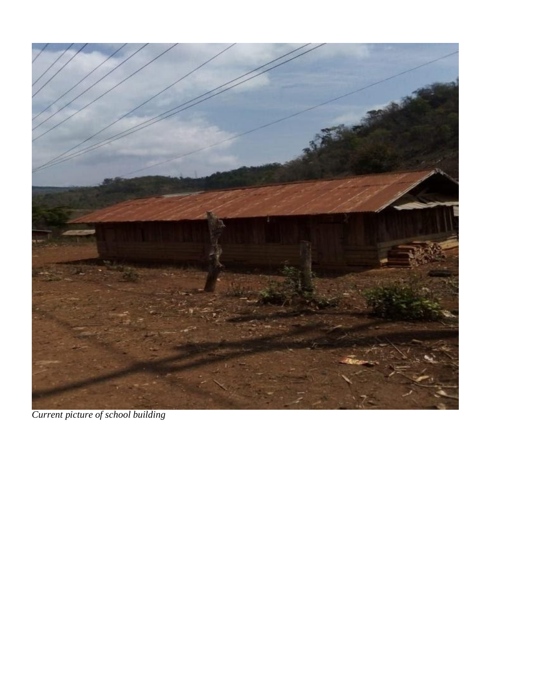

*Current picture of school building*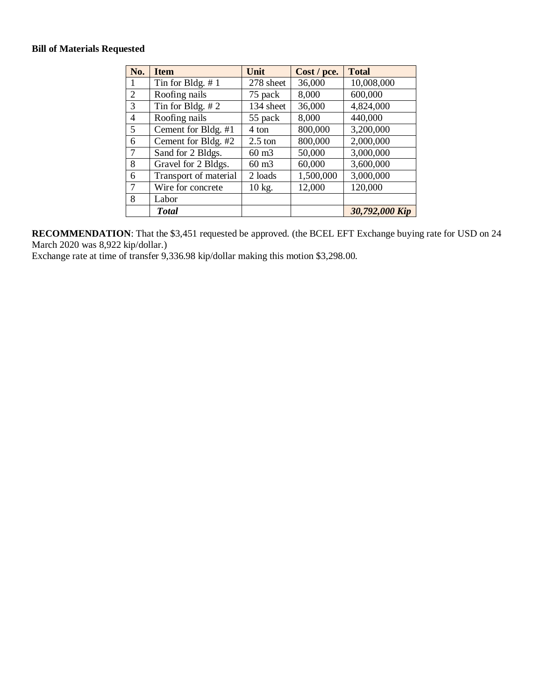## **Bill of Materials Requested**

| No.            | <b>Item</b>           | Unit              | Cost / pce. | <b>Total</b>   |
|----------------|-----------------------|-------------------|-------------|----------------|
| 1              | Tin for Bldg. $# 1$   | 278 sheet         | 36,000      | 10,008,000     |
| $\overline{2}$ | Roofing nails         | 75 pack           | 8,000       | 600,000        |
| 3              | Tin for Bldg. $# 2$   | 134 sheet         | 36,000      | 4,824,000      |
| 4              | Roofing nails         | 55 pack           | 8,000       | 440,000        |
| 5              | Cement for Bldg. #1   | 4 ton             | 800,000     | 3,200,000      |
| 6              | Cement for Bldg. #2   | $2.5$ ton         | 800,000     | 2,000,000      |
| $\overline{7}$ | Sand for 2 Bldgs.     | $60 \text{ m}$    | 50,000      | 3,000,000      |
| 8              | Gravel for 2 Bldgs.   | $60 \text{ m}$    | 60,000      | 3,600,000      |
| 6              | Transport of material | 2 loads           | 1,500,000   | 3,000,000      |
| 7              | Wire for concrete     | $10 \text{ kg}$ . | 12,000      | 120,000        |
| 8              | Labor                 |                   |             |                |
|                | <b>Total</b>          |                   |             | 30,792,000 Kip |

**RECOMMENDATION**: That the \$3,451 requested be approved. (the BCEL EFT Exchange buying rate for USD on 24 March 2020 was 8,922 kip/dollar.)

Exchange rate at time of transfer 9,336.98 kip/dollar making this motion \$3,298.00.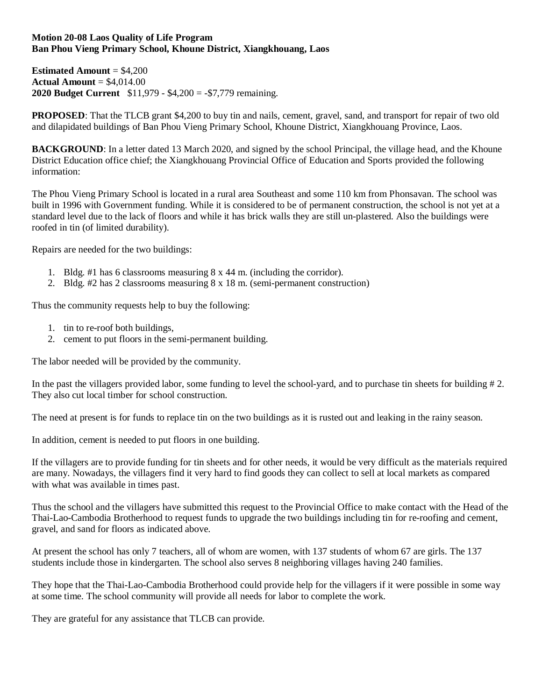## **Motion 20-08 Laos Quality of Life Program Ban Phou Vieng Primary School, Khoune District, Xiangkhouang, Laos**

**Estimated Amount** = \$4,200 **Actual Amount** = \$4,014.00 **2020 Budget Current** \$11,979 - \$4,200 = -\$7,779 remaining.

**PROPOSED**: That the TLCB grant \$4,200 to buy tin and nails, cement, gravel, sand, and transport for repair of two old and dilapidated buildings of Ban Phou Vieng Primary School, Khoune District, Xiangkhouang Province, Laos.

**BACKGROUND**: In a letter dated 13 March 2020, and signed by the school Principal, the village head, and the Khoune District Education office chief; the Xiangkhouang Provincial Office of Education and Sports provided the following information:

The Phou Vieng Primary School is located in a rural area Southeast and some 110 km from Phonsavan. The school was built in 1996 with Government funding. While it is considered to be of permanent construction, the school is not yet at a standard level due to the lack of floors and while it has brick walls they are still un-plastered. Also the buildings were roofed in tin (of limited durability).

Repairs are needed for the two buildings:

- 1. Bldg. #1 has 6 classrooms measuring 8 x 44 m. (including the corridor).
- 2. Bldg. #2 has 2 classrooms measuring 8 x 18 m. (semi-permanent construction)

Thus the community requests help to buy the following:

- 1. tin to re-roof both buildings,
- 2. cement to put floors in the semi-permanent building.

The labor needed will be provided by the community.

In the past the villagers provided labor, some funding to level the school-yard, and to purchase tin sheets for building # 2. They also cut local timber for school construction.

The need at present is for funds to replace tin on the two buildings as it is rusted out and leaking in the rainy season.

In addition, cement is needed to put floors in one building.

If the villagers are to provide funding for tin sheets and for other needs, it would be very difficult as the materials required are many. Nowadays, the villagers find it very hard to find goods they can collect to sell at local markets as compared with what was available in times past.

Thus the school and the villagers have submitted this request to the Provincial Office to make contact with the Head of the Thai-Lao-Cambodia Brotherhood to request funds to upgrade the two buildings including tin for re-roofing and cement, gravel, and sand for floors as indicated above.

At present the school has only 7 teachers, all of whom are women, with 137 students of whom 67 are girls. The 137 students include those in kindergarten. The school also serves 8 neighboring villages having 240 families.

They hope that the Thai-Lao-Cambodia Brotherhood could provide help for the villagers if it were possible in some way at some time. The school community will provide all needs for labor to complete the work.

They are grateful for any assistance that TLCB can provide.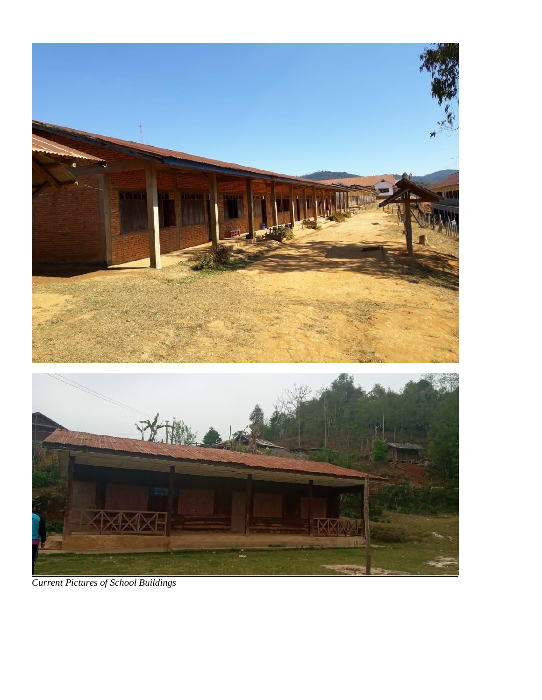

*Current Pictures of School Buildings*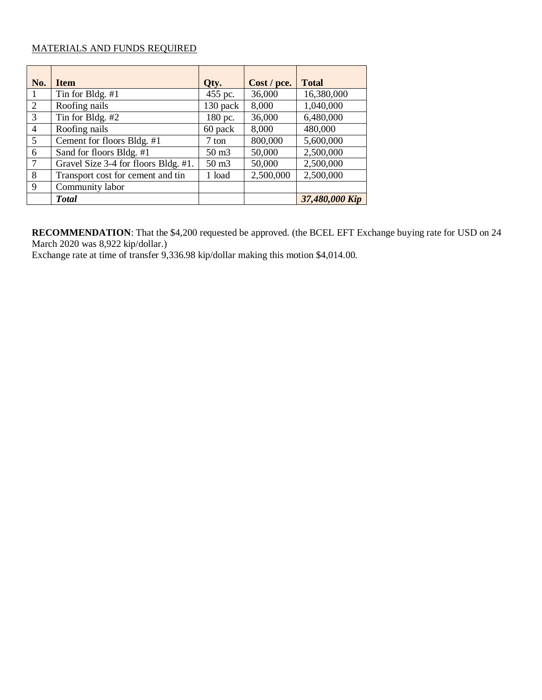## MATERIALS AND FUNDS REQUIRED

| No. | <b>Item</b>                          | Qty.              | Cost / pce. | <b>Total</b>   |
|-----|--------------------------------------|-------------------|-------------|----------------|
|     | Tin for Bldg. #1                     | 455 pc.           | 36,000      | 16,380,000     |
| 2   | Roofing nails                        | 130 pack          | 8,000       | 1,040,000      |
| 3   | Tin for Bldg. #2                     | 180 pc.           | 36,000      | 6,480,000      |
| 4   | Roofing nails                        | 60 pack           | 8,000       | 480,000        |
| 5   | Cement for floors Bldg. #1           | 7 ton             | 800,000     | 5,600,000      |
| 6   | Sand for floors Bldg. #1             | 50 m <sub>3</sub> | 50,000      | 2,500,000      |
| 7   | Gravel Size 3-4 for floors Bldg. #1. | $50 \text{ m}$    | 50,000      | 2,500,000      |
| 8   | Transport cost for cement and tin    | 1 load            | 2,500,000   | 2,500,000      |
| 9   | Community labor                      |                   |             |                |
|     | <b>Total</b>                         |                   |             | 37,480,000 Kip |

**RECOMMENDATION**: That the \$4,200 requested be approved. (the BCEL EFT Exchange buying rate for USD on 24 March 2020 was 8,922 kip/dollar.)

Exchange rate at time of transfer 9,336.98 kip/dollar making this motion \$4,014.00.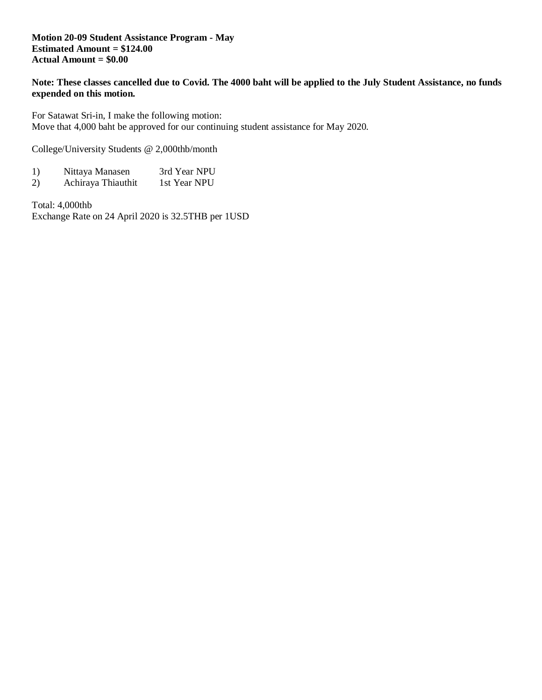## **Motion 20-09 Student Assistance Program - May Estimated Amount = \$124.00 Actual Amount = \$0.00**

## **Note: These classes cancelled due to Covid. The 4000 baht will be applied to the July Student Assistance, no funds expended on this motion.**

For Satawat Sri-in, I make the following motion: Move that 4,000 baht be approved for our continuing student assistance for May 2020.

College/University Students @ 2,000thb/month

| 1) | Nittaya Manasen    | 3rd Year NPU |
|----|--------------------|--------------|
| 2) | Achiraya Thiauthit | 1st Year NPU |

Total: 4,000thb Exchange Rate on 24 April 2020 is 32.5THB per 1USD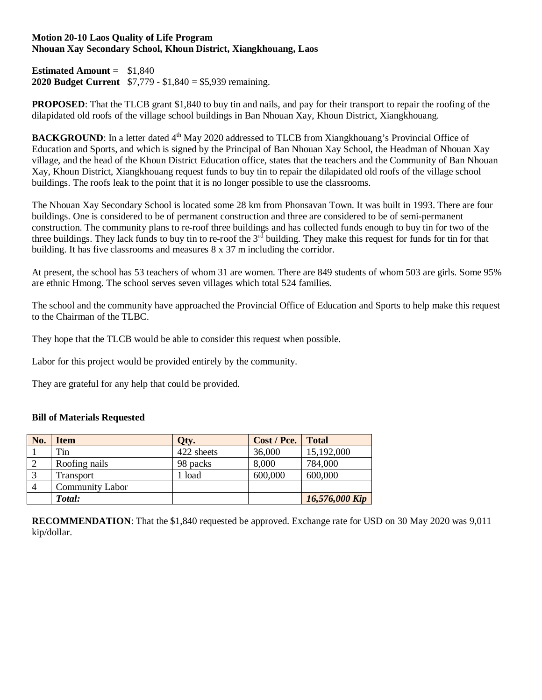## **Motion 20-10 Laos Quality of Life Program Nhouan Xay Secondary School, Khoun District, Xiangkhouang, Laos**

**Estimated Amount** = \$1,840 **2020 Budget Current** \$7,779 - \$1,840 = \$5,939 remaining.

**PROPOSED**: That the TLCB grant \$1,840 to buy tin and nails, and pay for their transport to repair the roofing of the dilapidated old roofs of the village school buildings in Ban Nhouan Xay, Khoun District, Xiangkhouang.

**BACKGROUND:** In a letter dated 4<sup>th</sup> May 2020 addressed to TLCB from Xiangkhouang's Provincial Office of Education and Sports, and which is signed by the Principal of Ban Nhouan Xay School, the Headman of Nhouan Xay village, and the head of the Khoun District Education office, states that the teachers and the Community of Ban Nhouan Xay, Khoun District, Xiangkhouang request funds to buy tin to repair the dilapidated old roofs of the village school buildings. The roofs leak to the point that it is no longer possible to use the classrooms.

The Nhouan Xay Secondary School is located some 28 km from Phonsavan Town. It was built in 1993. There are four buildings. One is considered to be of permanent construction and three are considered to be of semi-permanent construction. The community plans to re-roof three buildings and has collected funds enough to buy tin for two of the three buildings. They lack funds to buy tin to re-roof the  $3<sup>rd</sup>$  building. They make this request for funds for tin for that building. It has five classrooms and measures 8 x 37 m including the corridor.

At present, the school has 53 teachers of whom 31 are women. There are 849 students of whom 503 are girls. Some 95% are ethnic Hmong. The school serves seven villages which total 524 families.

The school and the community have approached the Provincial Office of Education and Sports to help make this request to the Chairman of the TLBC.

They hope that the TLCB would be able to consider this request when possible.

Labor for this project would be provided entirely by the community.

They are grateful for any help that could be provided.

#### **Bill of Materials Requested**

| No. | <b>Item</b>            | Qty.       | Cost / Pce. | <b>Total</b>   |
|-----|------------------------|------------|-------------|----------------|
|     | Tin                    | 422 sheets | 36,000      | 15,192,000     |
| 2   | Roofing nails          | 98 packs   | 8,000       | 784,000        |
| 3   | <b>Transport</b>       | 1 load     | 600,000     | 600,000        |
|     | <b>Community Labor</b> |            |             |                |
|     | Total:                 |            |             | 16,576,000 Kip |

**RECOMMENDATION**: That the \$1,840 requested be approved. Exchange rate for USD on 30 May 2020 was 9,011 kip/dollar.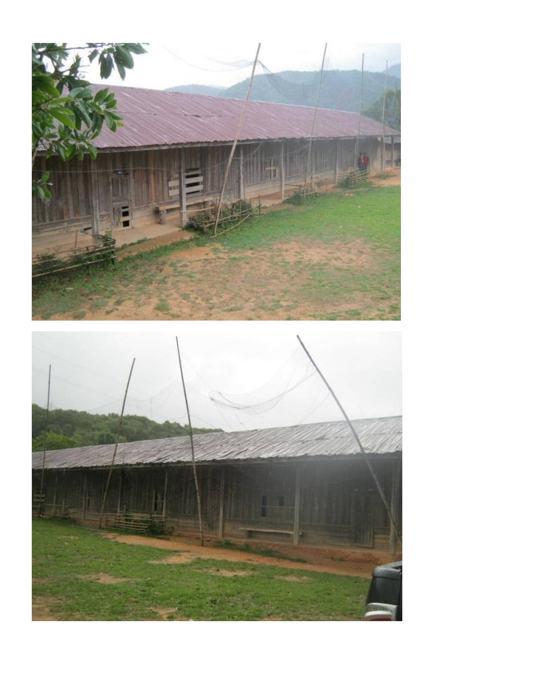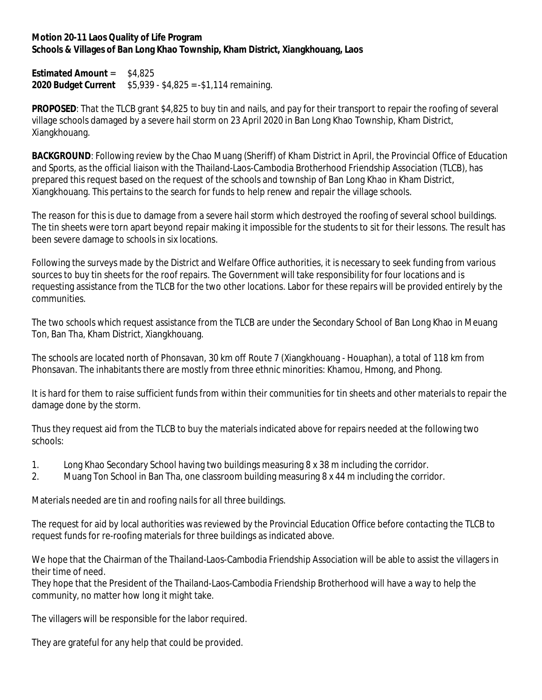**Motion 20-11 Laos Quality of Life Program Schools & Villages of Ban Long Khao Township, Kham District, Xiangkhouang, Laos**

**Estimated Amount** = \$4,825 **2020 Budget Current** \$5,939 - \$4,825 = -\$1,114 remaining.

**PROPOSED**: That the TLCB grant \$4,825 to buy tin and nails, and pay for their transport to repair the roofing of several village schools damaged by a severe hail storm on 23 April 2020 in Ban Long Khao Township, Kham District, Xiangkhouang.

**BACKGROUND**: Following review by the Chao Muang (Sheriff) of Kham District in April, the Provincial Office of Education and Sports, as the official liaison with the Thailand-Laos-Cambodia Brotherhood Friendship Association (TLCB), has prepared this request based on the request of the schools and township of Ban Long Khao in Kham District, Xiangkhouang. This pertains to the search for funds to help renew and repair the village schools.

The reason for this is due to damage from a severe hail storm which destroyed the roofing of several school buildings. The tin sheets were torn apart beyond repair making it impossible for the students to sit for their lessons. The result has been severe damage to schools in six locations.

Following the surveys made by the District and Welfare Office authorities, it is necessary to seek funding from various sources to buy tin sheets for the roof repairs. The Government will take responsibility for four locations and is requesting assistance from the TLCB for the two other locations. Labor for these repairs will be provided entirely by the communities.

The two schools which request assistance from the TLCB are under the Secondary School of Ban Long Khao in Meuang Ton, Ban Tha, Kham District, Xiangkhouang.

The schools are located north of Phonsavan, 30 km off Route 7 (Xiangkhouang - Houaphan), a total of 118 km from Phonsavan. The inhabitants there are mostly from three ethnic minorities: Khamou, Hmong, and Phong.

It is hard for them to raise sufficient funds from within their communities for tin sheets and other materials to repair the damage done by the storm.

Thus they request aid from the TLCB to buy the materials indicated above for repairs needed at the following two schools:

- 1. Long Khao Secondary School having two buildings measuring 8 x 38 m including the corridor.
- 2. Muang Ton School in Ban Tha, one classroom building measuring 8 x 44 m including the corridor.

Materials needed are tin and roofing nails for all three buildings.

The request for aid by local authorities was reviewed by the Provincial Education Office before contacting the TLCB to request funds for re-roofing materials for three buildings as indicated above.

We hope that the Chairman of the Thailand-Laos-Cambodia Friendship Association will be able to assist the villagers in their time of need.

They hope that the President of the Thailand-Laos-Cambodia Friendship Brotherhood will have a way to help the community, no matter how long it might take.

The villagers will be responsible for the labor required.

They are grateful for any help that could be provided.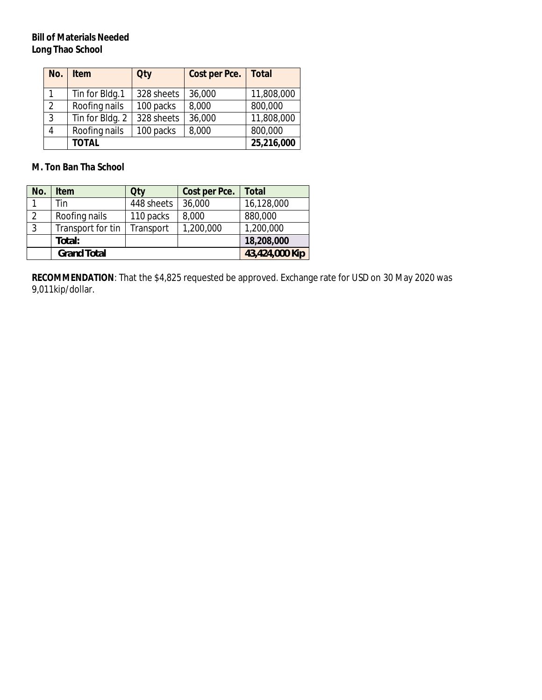## **Bill of Materials Needed Long Thao School**

| No.            | Item            | <b>Qty</b> | Cost per Pce. | Total      |
|----------------|-----------------|------------|---------------|------------|
|                | Tin for Bldg.1  | 328 sheets | 36,000        | 11,808,000 |
| $\overline{2}$ | Roofing nails   | 100 packs  | 8,000         | 800,000    |
| 3              | Tin for Bldg. 2 | 328 sheets | 36,000        | 11,808,000 |
| $\overline{4}$ | Roofing nails   | 100 packs  | 8,000         | 800,000    |
|                | <b>TOTAL</b>    |            |               | 25,216,000 |

**M. Ton Ban Tha School**

| No. | Item               | Qtv        | Cost per Pce. | Total          |
|-----|--------------------|------------|---------------|----------------|
|     | Tin                | 448 sheets | 36,000        | 16,128,000     |
| 2   | Roofing nails      | 110 packs  | 8,000         | 880,000        |
| 3   | Transport for tin  | Transport  | 1,200,000     | 1,200,000      |
|     | Total:             |            |               | 18,208,000     |
|     | <b>Grand Total</b> |            |               | 43,424,000 Kip |

**RECOMMENDATION**: That the \$4,825 requested be approved. Exchange rate for USD on 30 May 2020 was 9,011kip/dollar.